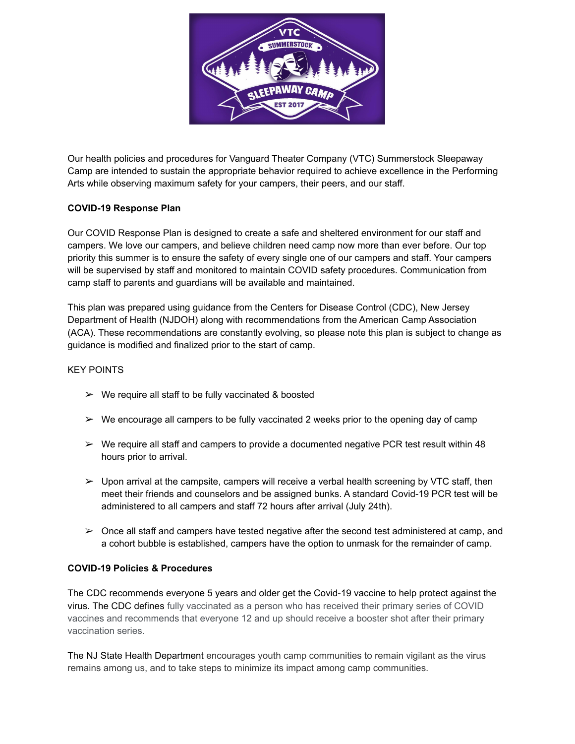

Our health policies and procedures for Vanguard Theater Company (VTC) Summerstock Sleepaway Camp are intended to sustain the appropriate behavior required to achieve excellence in the Performing Arts while observing maximum safety for your campers, their peers, and our staff.

## **COVID-19 Response Plan**

Our COVID Response Plan is designed to create a safe and sheltered environment for our staff and campers. We love our campers, and believe children need camp now more than ever before. Our top priority this summer is to ensure the safety of every single one of our campers and staff. Your campers will be supervised by staff and monitored to maintain COVID safety procedures. Communication from camp staff to parents and guardians will be available and maintained.

This plan was prepared using guidance from the Centers for Disease Control (CDC), New Jersey Department of Health (NJDOH) along with recommendations from the American Camp Association (ACA). These recommendations are constantly evolving, so please note this plan is subject to change as guidance is modified and finalized prior to the start of camp.

## KEY POINTS

- $\triangleright$  We require all staff to be fully vaccinated & boosted
- $\triangleright$  We encourage all campers to be fully vaccinated 2 weeks prior to the opening day of camp
- $\triangleright$  We require all staff and campers to provide a documented negative PCR test result within 48 hours prior to arrival.
- $\triangleright$  Upon arrival at the campsite, campers will receive a verbal health screening by VTC staff, then meet their friends and counselors and be assigned bunks. A standard Covid-19 PCR test will be administered to all campers and staff 72 hours after arrival (July 24th).
- $\triangleright$  Once all staff and campers have tested negative after the second test administered at camp, and a cohort bubble is established, campers have the option to unmask for the remainder of camp.

## **COVID-19 Policies & Procedures**

The CDC recommends everyone 5 years and older get the Covid-19 vaccine to help protect against the virus. The CDC defines fully vaccinated as a person who has received their primary series of COVID vaccines and recommends that everyone 12 and up should receive a booster shot after their primary vaccination series.

The NJ State Health Department encourages youth camp communities to remain vigilant as the virus remains among us, and to take steps to minimize its impact among camp communities.